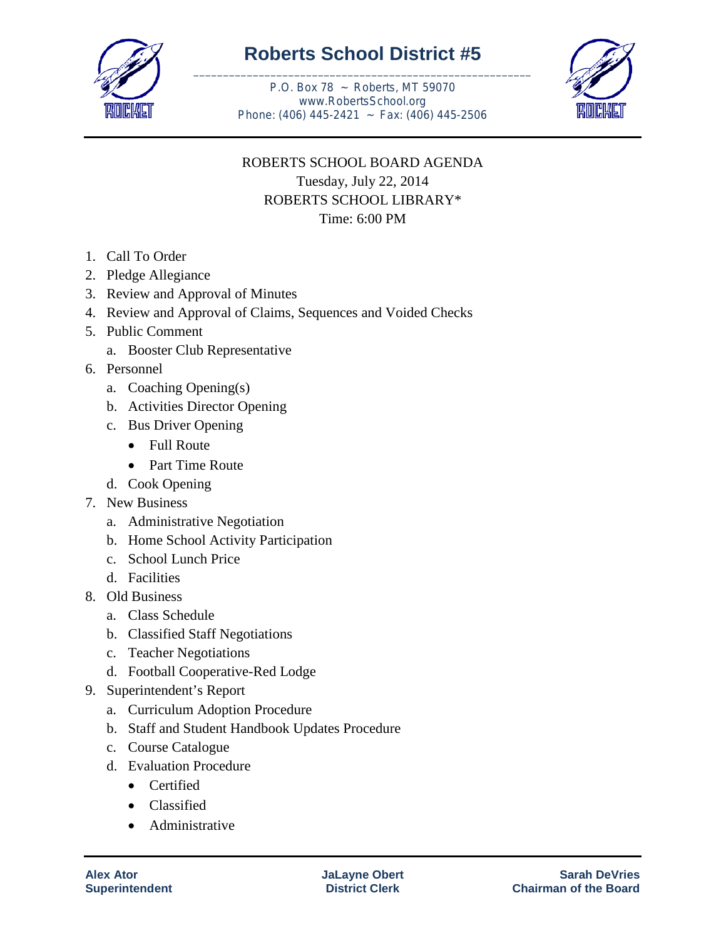

## **Roberts School District #5** \_\_\_\_\_\_\_\_\_\_\_\_\_\_\_\_\_\_\_\_\_\_\_\_\_\_\_\_\_\_\_\_\_\_\_\_\_\_\_\_\_\_\_\_\_\_\_\_\_\_\_\_\_\_\_\_\_

P.O. Box 78 ~ Roberts, MT 59070 www.RobertsSchool.org Phone: (406) 445-2421 ~ Fax: (406) 445-2506



## ROBERTS SCHOOL BOARD AGENDA Tuesday, July 22, 2014 ROBERTS SCHOOL LIBRARY\* Time: 6:00 PM

- 1. Call To Order
- 2. Pledge Allegiance
- 3. Review and Approval of Minutes
- 4. Review and Approval of Claims, Sequences and Voided Checks
- 5. Public Comment
	- a. Booster Club Representative
- 6. Personnel
	- a. Coaching Opening(s)
	- b. Activities Director Opening
	- c. Bus Driver Opening
		- Full Route
		- Part Time Route
	- d. Cook Opening
- 7. New Business
	- a. Administrative Negotiation
	- b. Home School Activity Participation
	- c. School Lunch Price
	- d. Facilities
- 8. Old Business
	- a. Class Schedule
	- b. Classified Staff Negotiations
	- c. Teacher Negotiations
	- d. Football Cooperative-Red Lodge
- 9. Superintendent's Report
	- a. Curriculum Adoption Procedure
	- b. Staff and Student Handbook Updates Procedure
	- c. Course Catalogue
	- d. Evaluation Procedure
		- Certified
		- Classified
		- Administrative